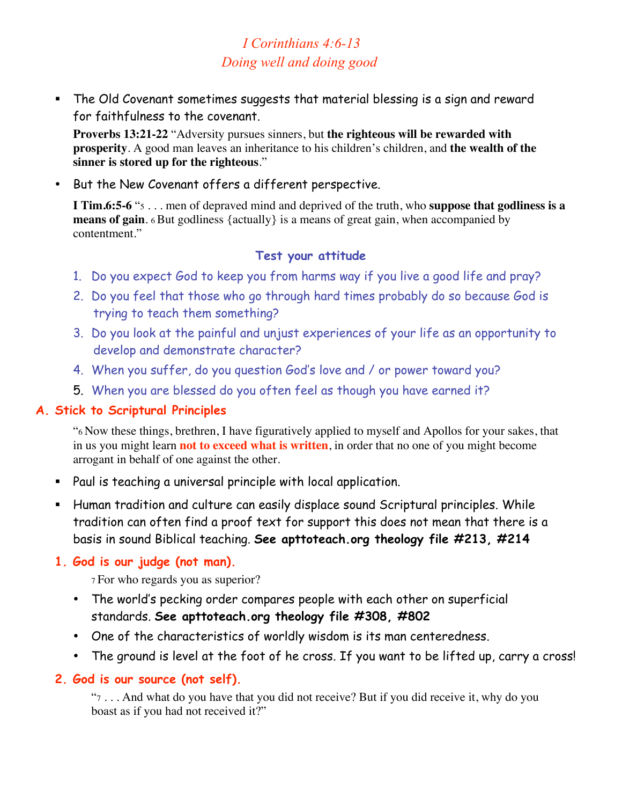# *I Corinthians 4:6-13 Doing well and doing good*

 The Old Covenant sometimes suggests that material blessing is a sign and reward for faithfulness to the covenant.

**Proverbs 13:21-22** "Adversity pursues sinners, but **the righteous will be rewarded with prosperity**. A good man leaves an inheritance to his children's children, and **the wealth of the sinner is stored up for the righteous**."

• But the New Covenant offers a different perspective.

**I Tim.6:5-6** "5 . . . men of depraved mind and deprived of the truth, who **suppose that godliness is a means of gain.** 6 But godliness {actually} is a means of great gain, when accompanied by contentment."

### **Test your attitude**

- 1. Do you expect God to keep you from harms way if you live a good life and pray?
- 2. Do you feel that those who go through hard times probably do so because God is trying to teach them something?
- 3. Do you look at the painful and unjust experiences of your life as an opportunity to develop and demonstrate character?
- 4. When you suffer, do you question God's love and / or power toward you?
- 5. When you are blessed do you often feel as though you have earned it?

### **A. Stick to Scriptural Principles**

"6 Now these things, brethren, I have figuratively applied to myself and Apollos for your sakes, that in us you might learn **not to exceed what is written**, in order that no one of you might become arrogant in behalf of one against the other.

- Paul is teaching a universal principle with local application.
- Human tradition and culture can easily displace sound Scriptural principles. While tradition can often find a proof text for support this does not mean that there is a basis in sound Biblical teaching. **See apttoteach.org theology file #213, #214**

# **1. God is our judge (not man).**

7 For who regards you as superior?

- The world's pecking order compares people with each other on superficial standards. **See apttoteach.org theology file #308, #802**
- One of the characteristics of worldly wisdom is its man centeredness.
- The ground is level at the foot of he cross. If you want to be lifted up, carry a cross!

# **2. God is our source (not self).**

"7 . . . And what do you have that you did not receive? But if you did receive it, why do you boast as if you had not received it?"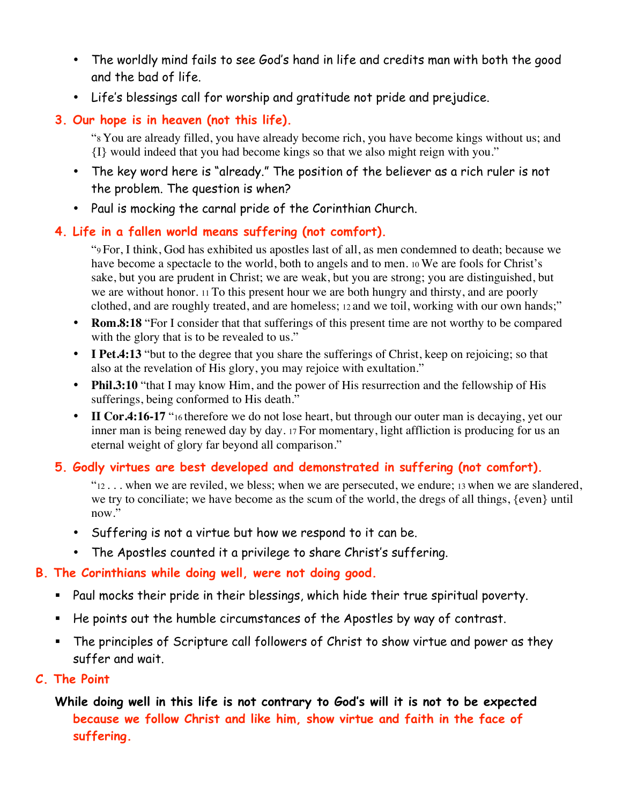- The worldly mind fails to see God's hand in life and credits man with both the good and the bad of life.
- Life's blessings call for worship and gratitude not pride and prejudice.

# **3. Our hope is in heaven (not this life).**

"8 You are already filled, you have already become rich, you have become kings without us; and {I} would indeed that you had become kings so that we also might reign with you."

- The key word here is "already." The position of the believer as a rich ruler is not the problem. The question is when?
- Paul is mocking the carnal pride of the Corinthian Church.

# **4. Life in a fallen world means suffering (not comfort).**

"9 For, I think, God has exhibited us apostles last of all, as men condemned to death; because we have become a spectacle to the world, both to angels and to men. 10 We are fools for Christ's sake, but you are prudent in Christ; we are weak, but you are strong; you are distinguished, but we are without honor. 11 To this present hour we are both hungry and thirsty, and are poorly clothed, and are roughly treated, and are homeless; 12 and we toil, working with our own hands;"

- **Rom.8:18** "For I consider that that sufferings of this present time are not worthy to be compared with the glory that is to be revealed to us."
- **I Pet.4:13** "but to the degree that you share the sufferings of Christ, keep on rejoicing; so that also at the revelation of His glory, you may rejoice with exultation."
- **Phil.3:10** "that I may know Him, and the power of His resurrection and the fellowship of His sufferings, being conformed to His death."
- II Cor.4:16-17 "16 therefore we do not lose heart, but through our outer man is decaying, yet our inner man is being renewed day by day. 17 For momentary, light affliction is producing for us an eternal weight of glory far beyond all comparison."

# **5. Godly virtues are best developed and demonstrated in suffering (not comfort).**

"12 . . . when we are reviled, we bless; when we are persecuted, we endure; 13 when we are slandered, we try to conciliate; we have become as the scum of the world, the dregs of all things, {even} until now."

- Suffering is not a virtue but how we respond to it can be.
- The Apostles counted it a privilege to share Christ's suffering.

# **B. The Corinthians while doing well, were not doing good.**

- Paul mocks their pride in their blessings, which hide their true spiritual poverty.
- He points out the humble circumstances of the Apostles by way of contrast.
- The principles of Scripture call followers of Christ to show virtue and power as they suffer and wait.

# **C. The Point**

# **While doing well in this life is not contrary to God's will it is not to be expected because we follow Christ and like him, show virtue and faith in the face of suffering.**